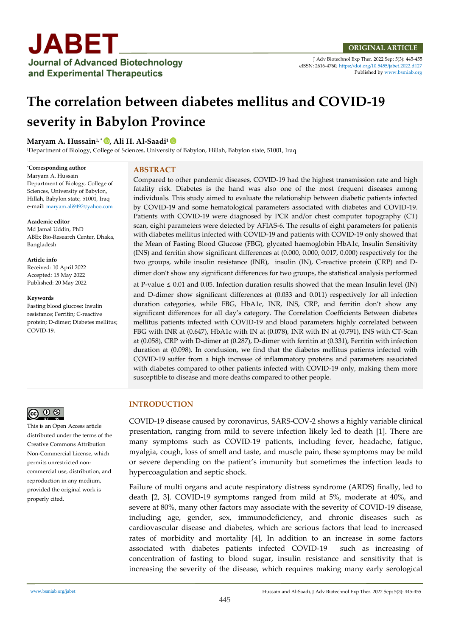

J Adv Biotechnol Exp Ther. 2022 Sep; 5(3): 445-455 eISSN: 2616-4760[, https://doi.org/10.5455/jabet.2022.d127](https://doi.org/10.5455/jabet.2022.d127)  Published b[y www.bsmiab.org](http://www.bsmiab.org/)

# **The correlation between diabetes mellitus and COVID-19 severity in Babylon Province**

## **Maryam A. Hussain1, \* , Ali H. Al-Saadi<sup>1</sup>**

<sup>1</sup>Department of Biology, College of Sciences, University of Babylon, Hillah, Babylon state, 51001, Iraq

#### \***Corresponding author**

Maryam A. Hussain Department of Biology, College of Sciences, University of Babylon, Hillah, Babylon state, 51001, Iraq e-mail: [maryam.ali9492@yahoo.com](mailto:maryam.ali9492@yahoo.com)

#### **Academic editor**

Md Jamal Uddin, PhD ABEx Bio-Research Center, Dhaka, Bangladesh

#### **Article info**

Received: 10 April 2022 Accepted: 15 May 2022 Published: 20 May 2022

#### **Keywords**

Fasting blood glucose; Insulin resistance; Ferritin; C-reactive protein; D-dimer; Diabetes mellitus; COVID-19.



This is an Open Access article distributed under the terms of the Creative Commons Attribution Non-Commercial License, which permits unrestricted noncommercial use, distribution, and reproduction in any medium, provided the original work is properly cited.

# **ABSTRACT**

Compared to other pandemic diseases, COVID-19 had the highest transmission rate and high fatality risk. Diabetes is the hand was also one of the most frequent diseases among individuals. This study aimed to evaluate the relationship between diabetic patients infected by COVID-19 and some hematological parameters associated with diabetes and COVID-19. Patients with COVID-19 were diagnosed by PCR and/or chest computer topography (CT) scan, eight parameters were detected by AFIAS-6. The results of eight parameters for patients with diabetes mellitus infected with COVID-19 and patients with COVID-19 only showed that the Mean of Fasting Blood Glucose (FBG), glycated haemoglobin HbA1c, Insulin Sensitivity (INS) and ferritin show significant differences at (0.000, 0.000, 0.017, 0.000) respectively for the two groups, while insulin resistance (INR), insulin (IN), C-reactive protein (CRP) and Ddimer don't show any significant differences for two groups, the statistical analysis performed

at P-value  $\leq 0.01$  and 0.05. Infection duration results showed that the mean Insulin level (IN) and D-dimer show significant differences at (0.033 and 0.011) respectively for all infection duration categories, while FBG, HbA1c, INR, INS, CRP, and ferritin don't show any significant differences for all day's category. The Correlation Coefficients Between diabetes mellitus patients infected with COVID-19 and blood parameters highly correlated between FBG with INR at (0.647), HbA1c with IN at (0.078), INR with IN at (0.791), INS with CT-Scan at (0.058), CRP with D-dimer at (0.287), D-dimer with ferritin at (0.331), Ferritin with infection duration at (0.098). In conclusion, we find that the diabetes mellitus patients infected with COVID-19 suffer from a high increase of inflammatory proteins and parameters associated with diabetes compared to other patients infected with COVID-19 only, making them more susceptible to disease and more deaths compared to other people.

# **INTRODUCTION**

COVID-19 disease caused by coronavirus, SARS-COV-2 shows a highly variable clinical presentation, ranging from mild to severe infection likely led to death [1]. There are many symptoms such as COVID-19 patients, including fever, headache, fatigue, myalgia, cough, loss of smell and taste, and muscle pain, these symptoms may be mild or severe depending on the patient's immunity but sometimes the infection leads to hypercoagulation and septic shock.

Failure of multi organs and acute respiratory distress syndrome (ARDS) finally, led to death [2, 3]. COVID-19 symptoms ranged from mild at 5%, moderate at 40%, and severe at 80%, many other factors may associate with the severity of COVID-19 disease, including age, gender, sex, immunodeficiency, and chronic diseases such as cardiovascular disease and diabetes, which are serious factors that lead to increased rates of morbidity and mortality [4], In addition to an increase in some factors associated with diabetes patients infected COVID-19 such as increasing of concentration of fasting to blood sugar, insulin resistance and sensitivity that is increasing the severity of the disease, which requires making many early serological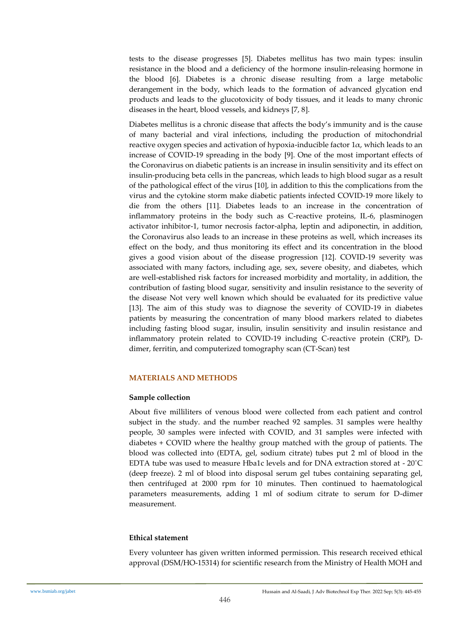tests to the disease progresses [5]. Diabetes mellitus has two main types: insulin resistance in the blood and a deficiency of the hormone insulin-releasing hormone in the blood [6]. Diabetes is a chronic disease resulting from a large metabolic derangement in the body, which leads to the formation of advanced glycation end products and leads to the glucotoxicity of body tissues, and it leads to many chronic diseases in the heart, blood vessels, and kidneys [7, 8].

Diabetes mellitus is a chronic disease that affects the body's immunity and is the cause of many bacterial and viral infections, including the production of mitochondrial reactive oxygen species and activation of hypoxia-inducible factor  $1\alpha$ , which leads to an increase of COVID-19 spreading in the body [9]. One of the most important effects of the Coronavirus on diabetic patients is an increase in insulin sensitivity and its effect on insulin-producing beta cells in the pancreas, which leads to high blood sugar as a result of the pathological effect of the virus [10], in addition to this the complications from the virus and the cytokine storm make diabetic patients infected COVID-19 more likely to die from the others [11]. Diabetes leads to an increase in the concentration of inflammatory proteins in the body such as C-reactive proteins, IL-6, plasminogen activator inhibitor-1, tumor necrosis factor-alpha, leptin and adiponectin, in addition, the Coronavirus also leads to an increase in these proteins as well, which increases its effect on the body, and thus monitoring its effect and its concentration in the blood gives a good vision about of the disease progression [12]. COVID-19 severity was associated with many factors, including age, sex, severe obesity, and diabetes, which are well-established risk factors for increased morbidity and mortality, in addition, the contribution of fasting blood sugar, sensitivity and insulin resistance to the severity of the disease Not very well known which should be evaluated for its predictive value [13]. The aim of this study was to diagnose the severity of COVID-19 in diabetes patients by measuring the concentration of many blood markers related to diabetes including fasting blood sugar, insulin, insulin sensitivity and insulin resistance and inflammatory protein related to COVID-19 including C-reactive protein (CRP), Ddimer, ferritin, and computerized tomography scan (CT-Scan) test

# **MATERIALS AND METHODS**

#### **Sample collection**

About five milliliters of venous blood were collected from each patient and control subject in the study. and the number reached 92 samples. 31 samples were healthy people, 30 samples were infected with COVID, and 31 samples were infected with diabetes + COVID where the healthy group matched with the group of patients. The blood was collected into (EDTA, gel, sodium citrate) tubes put 2 ml of blood in the EDTA tube was used to measure Hba1c levels and for DNA extraction stored at - 20˚C (deep freeze). 2 ml of blood into disposal serum gel tubes containing separating gel, then centrifuged at 2000 rpm for 10 minutes. Then continued to haematological parameters measurements, adding 1 ml of sodium citrate to serum for D-dimer measurement.

#### **Ethical statement**

Every volunteer has given written informed permission. This research received ethical approval (DSM/HO-15314) for scientific research from the Ministry of Health MOH and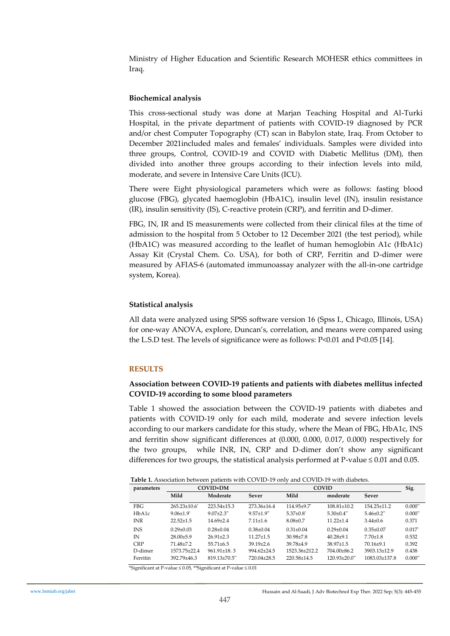Ministry of Higher Education and Scientific Research MOHESR ethics committees in Iraq.

## **Biochemical analysis**

This cross-sectional study was done at Marjan Teaching Hospital and Al-Turki Hospital, in the private department of patients with COVID-19 diagnosed by PCR and/or chest Computer Topography (CT) scan in Babylon state, Iraq. From October to December 2021included males and females' individuals. Samples were divided into three groups, Control, COVID-19 and COVID with Diabetic Mellitus (DM), then divided into another three groups according to their infection levels into mild, moderate, and severe in Intensive Care Units (ICU).

There were Eight physiological parameters which were as follows: fasting blood glucose (FBG), glycated haemoglobin (HbA1C), insulin level (IN), insulin resistance (IR), insulin sensitivity (IS), C-reactive protein (CRP), and ferritin and D-dimer.

FBG, IN, IR and IS measurements were collected from their clinical files at the time of admission to the hospital from 5 October to 12 December 2021 (the test period), while (HbA1C) was measured according to the leaflet of human hemoglobin A1c (HbA1c) Assay Kit (Crystal Chem. Co. USA), for both of CRP, Ferritin and D-dimer were measured by AFIAS-6 (automated immunoassay analyzer with the all-in-one cartridge system, Korea).

## **Statistical analysis**

All data were analyzed using SPSS software version 16 (Spss I., Chicago, Illinois, USA) for one-way ANOVA, explore, Duncan's, correlation, and means were compared using the L.S.D test. The levels of significance were as follows: P<0.01 and P<0.05 [14].

# **RESULTS**

# **Association between COVID-19 patients and patients with diabetes mellitus infected COVID-19 according to some blood parameters**

Table 1 showed the association between the COVID-19 patients with diabetes and patients with COVID-19 only for each mild, moderate and severe infection levels according to our markers candidate for this study, where the Mean of FBG, HbA1c, INS and ferritin show significant differences at (0.000, 0.000, 0.017, 0.000) respectively for the two groups, while INR, IN, CRP and D-dimer don't show any significant differences for two groups, the statistical analysis performed at P-value  $\leq 0.01$  and 0.05.

**Table 1.** Association between patients with COVID-19 only and COVID-19 with diabetes.

| parameters | <b>COVID+DM</b>             |                            |                              |                         | <b>COVID</b>                    |                              |                       |  |
|------------|-----------------------------|----------------------------|------------------------------|-------------------------|---------------------------------|------------------------------|-----------------------|--|
|            | Mild                        | Moderate                   | Sever                        | Mild                    | moderate                        | <b>Sever</b>                 |                       |  |
| FBG.       | $265.23 \pm 10.6$           | $223.54 \pm 15.3$          | 273.36±16.4                  | 114.95±9.7*             | $108.81 \pm 10.2$               | 154.25±11.2                  | $0.000**$             |  |
| HbA1c      | $9.06 \pm 1.9$ <sup>*</sup> | $9.07 + 2.3$ <sup>**</sup> | $9.57 \pm 1.9$ <sup>**</sup> | $5.37+0.8$ <sup>*</sup> | $5.30+0.4$ <sup>**</sup>        | $5.46 \pm 0.2$ <sup>**</sup> | $0.000$ <sup>**</sup> |  |
| <b>INR</b> | $22.52+1.5$                 | $14.69 + 2.4$              | $7.11 \pm 1.6$               | $8.08 \pm 0.7$          | $11.22 + 1.4$                   | $3.44 \pm 0.6$               | 0.371                 |  |
| <b>INS</b> | $0.29 + 0.03$               | $0.28 \pm 0.04$            | $0.38 + 0.04$                | $0.31 \pm 0.04$         | $0.29 + 0.04$                   | $0.35 \pm 0.07$              | $0.017*$              |  |
| IN         | $28.00+5.9$                 | $26.91 + 2.3$              | $11.27 \pm 1.5$              | $30.98 + 7.8$           | $40.28 + 9.1$                   | $7.70 \pm 1.8$               | 0.532                 |  |
| <b>CRP</b> | 71.48+7.2                   | $55.71 \pm 6.5$            | $39.19 + 2.6$                | $39.78 + 4.9$           | $38.97 \pm 1.5$                 | $70.16+9.1$                  | 0.392                 |  |
| D-dimer    | 1573.75+22.4                | $961.91 \pm 18.3$          | $994.62 + 24.5$              | 1523.36+212.2           | 704.00±86.2                     | $3903.13 \pm 12.9$           | 0.438                 |  |
| Ferritin   | $392.79 + 46.3$             | 819.13±70.5**              | 720.04+28.5                  | 220.58±14.5             | $120.93 \pm 20.0$ <sup>**</sup> | $1083.03 \pm 137.8$          | $0.000**$             |  |

\*Significant at P-value ≤ 0.05, \*\*Significant at P-value ≤ 0.01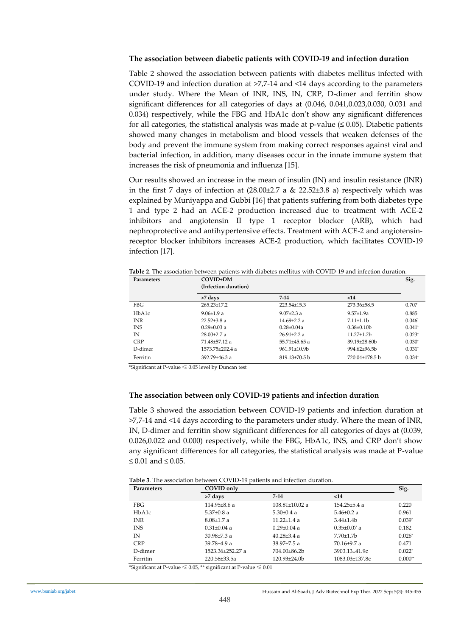#### **The association between diabetic patients with COVID-19 and infection duration**

Table 2 showed the association between patients with diabetes mellitus infected with COVID-19 and infection duration at >7,7-14 and <14 days according to the parameters under study. Where the Mean of INR, INS, IN, CRP, D-dimer and ferritin show significant differences for all categories of days at (0.046, 0.041,0.023,0.030, 0.031 and 0.034) respectively, while the FBG and HbA1c don't show any significant differences for all categories, the statistical analysis was made at p-value  $(\leq 0.05)$ . Diabetic patients showed many changes in metabolism and blood vessels that weaken defenses of the body and prevent the immune system from making correct responses against viral and bacterial infection, in addition, many diseases occur in the innate immune system that increases the risk of pneumonia and influenza [15].

Our results showed an increase in the mean of insulin (IN) and insulin resistance (INR) in the first 7 days of infection at  $(28.00\pm2.7 \text{ a} \& 22.52\pm3.8 \text{ a})$  respectively which was explained by Muniyappa and Gubbi [16] that patients suffering from both diabetes type 1 and type 2 had an ACE-2 production increased due to treatment with ACE-2 inhibitors and angiotensin II type 1 receptor blocker (ARB), which had nephroprotective and antihypertensive effects. Treatment with ACE-2 and angiotensinreceptor blocker inhibitors increases ACE-2 production, which facilitates COVID-19 infection [17].

| COVID+DM<br><b>Parameters</b> |                      |                             |                   |          |  |  |  |
|-------------------------------|----------------------|-----------------------------|-------------------|----------|--|--|--|
|                               | (Infection duration) |                             |                   |          |  |  |  |
|                               | >7 days              | $7 - 14$                    | $14$              |          |  |  |  |
| <b>FBG</b>                    | $265.23 \pm 17.2$    | $223.54 + 15.3$             | 273.36±58.5       | 0.707    |  |  |  |
| HbA1c                         | $9.06 \pm 1.9 a$     | $9.07 + 2.3a$               | $9.57 + 1.9a$     | 0.885    |  |  |  |
| <b>INR</b>                    | $22.52 + 3.8$ a      | $14.69 + 2.2a$              | $7.11 \pm 1.1$    | $0.046*$ |  |  |  |
| <b>INS</b>                    | $0.29 \pm 0.03$ a    | $0.28 + 0.04a$              | $0.38 \pm 0.10$ b | $0.041*$ |  |  |  |
| IN                            | $28.00+2.7a$         | $26.91 + 2.2a$              | $11.27 \pm 1.2b$  | $0.023*$ |  |  |  |
| <b>CRP</b>                    | 71.48+57.12 a        | $55.71 + 45.65$ a           | $39.19 \pm 28.60$ | $0.030*$ |  |  |  |
| D-dimer                       | $1573.75 + 202.4$ a  | $961.91 \pm 10.9$           | $994.62 + 96.5h$  | $0.031*$ |  |  |  |
| Ferritin                      | $392.79 + 46.3a$     | $819.13 \pm 70.5 \text{ h}$ | 720.04±178.5 b    | $0.034*$ |  |  |  |

**Table 2**. The association between patients with diabetes mellitus with COVID-19 and infection duration.

\*Significant at P-value ≤ 0.05 level by Duncan test

#### **The association between only COVID-19 patients and infection duration**

Table 3 showed the association between COVID-19 patients and infection duration at >7,7-14 and <14 days according to the parameters under study. Where the mean of INR, IN, D-dimer and ferritin show significant differences for all categories of days at (0.039, 0.026,0.022 and 0.000) respectively, while the FBG, HbA1c, INS, and CRP don't show any significant differences for all categories, the statistical analysis was made at P-value  $≤ 0.01$  and  $≤ 0.05$ .

**Table 3**. The association between COVID-19 patients and infection duration.

| Parameters | Sig.<br>COVID only |                      |                    |           |  |  |  |  |
|------------|--------------------|----------------------|--------------------|-----------|--|--|--|--|
|            | >7 days            | $7 - 14$             | $14$               |           |  |  |  |  |
| FBG        | $114.95\pm8.6$ a   | $108.81 \pm 10.02$ a | $154.25 \pm 5.4$ a | 0.220     |  |  |  |  |
| HbA1c      | $5.37{\pm}0.8$ a   | $5.30 \pm 0.4$ a     | $5.46 \pm 0.2$ a   | 0.961     |  |  |  |  |
| <b>INR</b> | $8.08 \pm 1.7 a$   | $11.22 \pm 1.4$ a    | $3.44\pm1.4b$      | $0.039*$  |  |  |  |  |
| <b>INS</b> | $0.31 \pm 0.04$ a  | $0.29 \pm 0.04$ a    | $0.35 \pm 0.07$ a  | 0.182     |  |  |  |  |
| IN         | $30.98 \pm 7.3$ a  | $40.28 \pm 3.4$ a    | $7.70 \pm 1.7$ b   | $0.026*$  |  |  |  |  |
| <b>CRP</b> | $39.78 + 4.9$ a    | $38.97 \pm 7.5$ a    | $70.16 \pm 9.7$ a  | 0.471     |  |  |  |  |
| D-dimer    | 1523.36±252.27 a   | $704.00 + 86.2$      | $3903.13 + 41.9c$  | $0.022*$  |  |  |  |  |
| Ferritin   | 220.58±33.5a       | $120.93 \pm 24.0$    | 1083.03±137.8c     | $0.000**$ |  |  |  |  |

\*Significant at P-value  $\leq 0.05$ , \*\* significant at P-value  $\leq 0.01$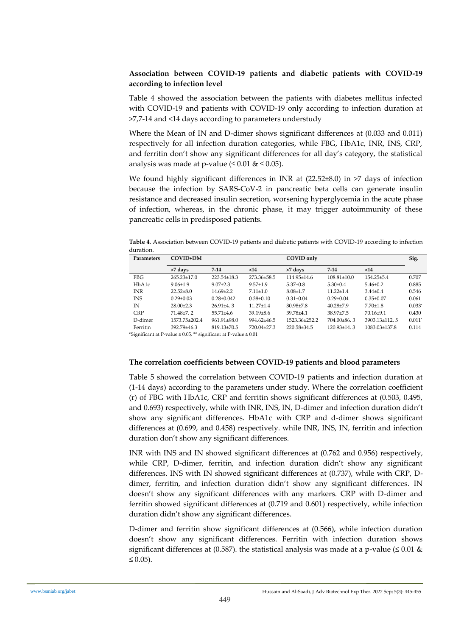# **Association between COVID-19 patients and diabetic patients with COVID-19 according to infection level**

Table 4 showed the association between the patients with diabetes mellitus infected with COVID-19 and patients with COVID-19 only according to infection duration at >7,7-14 and <14 days according to parameters understudy

Where the Mean of IN and D-dimer shows significant differences at (0.033 and 0.011) respectively for all infection duration categories, while FBG, HbA1c, INR, INS, CRP, and ferritin don't show any significant differences for all day's category, the statistical analysis was made at p-value ( $\leq 0.01 \& \leq 0.05$ ).

We found highly significant differences in INR at  $(22.52\pm8.0)$  in >7 days of infection because the infection by SARS-CoV-2 in pancreatic beta cells can generate insulin resistance and decreased insulin secretion, worsening hyperglycemia in the acute phase of infection, whereas, in the chronic phase, it may trigger autoimmunity of these pancreatic cells in predisposed patients.

**Table 4**. Association between COVID-19 patients and diabetic patients with COVID-19 according to infection duration.

| <b>Parameters</b> | COVID+DM          |                   |                 | COVID only      |                   |                     |          |
|-------------------|-------------------|-------------------|-----------------|-----------------|-------------------|---------------------|----------|
|                   | >7 days           | $7-14$            | $14$            | >7 days         | $7 - 14$          | $14$                |          |
| <b>FBG</b>        | $265.23 \pm 17.0$ | $223.54\pm18.3$   | 273.36±58.5     | 114.95±14.6     | $108.81 \pm 10.0$ | $154.25 \pm 5.4$    | 0.707    |
| HbA1c             | $9.06 \pm 1.9$    | $9.07 + 2.3$      | $9.57 \pm 1.9$  | $5.37{\pm}0.8$  | $5.30 \pm 0.4$    | $5.46 \pm 0.2$      | 0.885    |
| <b>INR</b>        | $22.52 + 8.0$     | $14.69 + 2.2$     | $7.11 \pm 1.0$  | $8.08 \pm 1.7$  | $11.22 + 1.4$     | $3.44 \pm 0.4$      | 0.546    |
| <b>INS</b>        | $0.29 \pm 0.03$   | $0.28 \pm 0.042$  | $0.38 \pm 0.10$ | $0.31 \pm 0.04$ | $0.29 \pm 0.04$   | $0.35 \pm 0.07$     | 0.061    |
| IN                | $28.00+2.3$       | $26.91 + 4.3$     | $11.27 \pm 1.4$ | $30.98 + 7.8$   | $40.28 + 7.9$     | $7.70 \pm 1.8$      | $0.033*$ |
| <b>CRP</b>        | $71.48 + 7.2$     | $55.71 + 4.6$     | $39.19 \pm 8.6$ | $39.78 \pm 4.1$ | $38.97 + 7.5$     | $70.16+9.1$         | 0.430    |
| D-dimer           | 1573.75+202.4     | $961.91 \pm 98.0$ | $994.62 + 46.5$ | 1523.36+252.2   | $704.00\pm86.3$   | $3903.13 \pm 112.5$ | $0.011*$ |
| Ferritin          | 392.79±46.3       | 819.13±70.5       | 720.04±27.3     | 220.58±34.5     | $120.93 \pm 14.3$ | $1083.03 \pm 137.8$ | 0.114    |

\*Significant at P-value ≤ 0.05, \*\* significant at P-value ≤ 0.01

# **The correlation coefficients between COVID-19 patients and blood parameters**

Table 5 showed the correlation between COVID-19 patients and infection duration at (1-14 days) according to the parameters under study. Where the correlation coefficient (r) of FBG with HbA1c, CRP and ferritin shows significant differences at (0.503, 0.495, and 0.693) respectively, while with INR, INS, IN, D-dimer and infection duration didn't show any significant differences. HbA1c with CRP and d-dimer shows significant differences at (0.699, and 0.458) respectively. while INR, INS, IN, ferritin and infection duration don't show any significant differences.

INR with INS and IN showed significant differences at (0.762 and 0.956) respectively, while CRP, D-dimer, ferritin, and infection duration didn't show any significant differences. INS with IN showed significant differences at (0.737), while with CRP, Ddimer, ferritin, and infection duration didn't show any significant differences. IN doesn't show any significant differences with any markers. CRP with D-dimer and ferritin showed significant differences at (0.719 and 0.601) respectively, while infection duration didn't show any significant differences.

D-dimer and ferritin show significant differences at (0.566), while infection duration doesn't show any significant differences. Ferritin with infection duration shows significant differences at (0.587). the statistical analysis was made at a p-value ( $\leq 0.01$  & ≤ 0.05).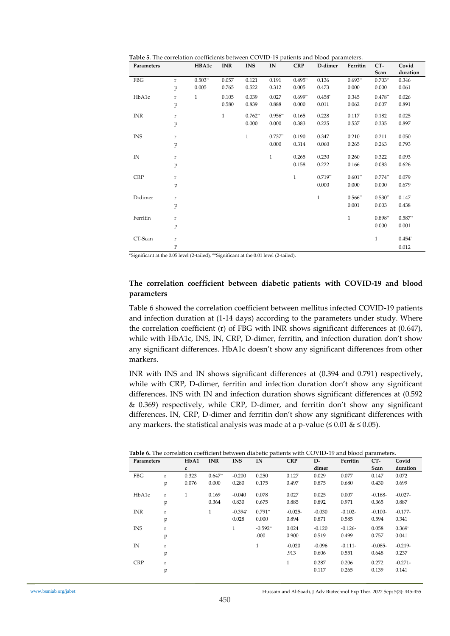**Table 5**. The correlation coefficients between COVID-19 patients and blood parameters.

| Parameters   |              | HBA1c        | <b>INR</b>   | <b>INS</b>   | IN           | <b>CRP</b>   | D-dimer      | Ferritin     | CT-          | Covid     |
|--------------|--------------|--------------|--------------|--------------|--------------|--------------|--------------|--------------|--------------|-----------|
|              |              |              |              |              |              |              |              |              | Scan         | duration  |
| FBG          | $\mathbf{r}$ | $0.503**$    | 0.057        | 0.121        | 0.191        | $0.495**$    | 0.136        | $0.693**$    | $0.703**$    | 0.346     |
|              | p            | 0.005        | 0.765        | 0.522        | 0.312        | 0.005        | 0.473        | 0.000        | 0.000        | 0.061     |
| HbA1c        | r            | $\mathbf{1}$ | 0.105        | 0.039        | 0.027        | $0.699**$    | $0.458*$     | 0.345        | $0.478**$    | 0.026     |
|              | p            |              | 0.580        | 0.839        | 0.888        | 0.000        | 0.011        | 0.062        | 0.007        | 0.891     |
| INR          | $\mathbf r$  |              | $\mathbf{1}$ | $0.762**$    | $0.956**$    | 0.165        | 0.228        | 0.117        | 0.182        | 0.025     |
|              | p            |              |              | 0.000        | 0.000        | 0.383        | 0.225        | 0.537        | 0.335        | 0.897     |
| <b>INS</b>   | $\mathbf r$  |              |              | $\mathbf{1}$ | $0.737**$    | 0.190        | 0.347        | 0.210        | 0.211        | 0.050     |
|              | p            |              |              |              | 0.000        | 0.314        | 0.060        | 0.265        | 0.263        | 0.793     |
| $\mathbb{N}$ | $\mathbf r$  |              |              |              | $\mathbf{1}$ | 0.265        | 0.230        | 0.260        | 0.322        | 0.093     |
|              | p            |              |              |              |              | 0.158        | 0.222        | 0.166        | 0.083        | 0.626     |
|              |              |              |              |              |              |              |              |              |              |           |
| <b>CRP</b>   | r            |              |              |              |              | $\mathbf{1}$ | $0.719**$    | $0.601**$    | $0.774**$    | 0.079     |
|              | p            |              |              |              |              |              | 0.000        | 0.000        | 0.000        | 0.679     |
| D-dimer      | r            |              |              |              |              |              | $\mathbf{1}$ | $0.566**$    | $0.530**$    | 0.147     |
|              | p            |              |              |              |              |              |              | 0.001        | 0.003        | 0.438     |
|              |              |              |              |              |              |              |              |              |              |           |
| Ferritin     | r            |              |              |              |              |              |              | $\mathbf{1}$ | $0.898**$    | $0.587**$ |
|              | p            |              |              |              |              |              |              |              | 0.000        | 0.001     |
| CT-Scan      | $\bf r$      |              |              |              |              |              |              |              | $\mathbf{1}$ | $0.454*$  |
|              | $\mathbf{P}$ |              |              |              |              |              |              |              |              | 0.012     |

\*Significant at the 0.05 level (2-tailed), \*\*Significant at the 0.01 level (2-tailed).

## **The correlation coefficient between diabetic patients with COVID-19 and blood parameters**

Table 6 showed the correlation coefficient between mellitus infected COVID-19 patients and infection duration at (1-14 days) according to the parameters under study. Where the correlation coefficient (r) of FBG with INR shows significant differences at (0.647), while with HbA1c, INS, IN, CRP, D-dimer, ferritin, and infection duration don't show any significant differences. HbA1c doesn't show any significant differences from other markers.

INR with INS and IN shows significant differences at (0.394 and 0.791) respectively, while with CRP, D-dimer, ferritin and infection duration don't show any significant differences. INS with IN and infection duration shows significant differences at (0.592 & 0.369) respectively, while CRP, D-dimer, and ferritin don't show any significant differences. IN, CRP, D-dimer and ferritin don't show any significant differences with any markers. the statistical analysis was made at a p-value ( $\leq 0.01 \& \leq 0.05$ ).

| Table 6. The correlation coefficient between diabetic patients with COVID-19 and blood parameters. |
|----------------------------------------------------------------------------------------------------|
|----------------------------------------------------------------------------------------------------|

| Parameters |         | HbA1         | <b>INR</b>   | <b>INS</b> | IN           | <b>CRP</b>   | D-       | Ferritin  | $CT-$     | Covid     |
|------------|---------|--------------|--------------|------------|--------------|--------------|----------|-----------|-----------|-----------|
|            |         | c            |              |            |              |              | dimer    |           | Scan      | duration  |
| FBG        | r       | 0.323        | $0.647**$    | $-0.200$   | 0.250        | 0.127        | 0.029    | 0.077     | 0.147     | 0.072     |
|            | p       | 0.076        | 0.000        | 0.280      | 0.175        | 0.497        | 0.875    | 0.680     | 0.430     | 0.699     |
| HbA1c      | $\bf r$ | $\mathbf{1}$ | 0.169        | $-0.040$   | 0.078        | 0.027        | 0.025    | 0.007     | $-0.168-$ | $-0.027-$ |
|            | p       |              | 0.364        | 0.830      | 0.675        | 0.885        | 0.892    | 0.971     | 0.365     | 0.887     |
| <b>INR</b> | r       |              | $\mathbf{1}$ | $-0.394^*$ | $0.791**$    | $-0.025-$    | $-0.030$ | $-0.102-$ | $-0.100-$ | $-0.177-$ |
|            | p       |              |              | 0.028      | 0.000        | 0.894        | 0.871    | 0.585     | 0.594     | 0.341     |
| <b>INS</b> | r       |              |              | 1          | $-0.592$ **  | 0.024        | $-0.120$ | $-0.126-$ | 0.058     | $0.369*$  |
|            | p       |              |              |            | .000         | 0.900        | 0.519    | 0.499     | 0.757     | 0.041     |
| IN         | r       |              |              |            | $\mathbf{1}$ | $-0.020$     | $-0.096$ | $-0.111-$ | $-0.085-$ | $-0.219-$ |
|            | p       |              |              |            |              | .913         | 0.606    | 0.551     | 0.648     | 0.237     |
| <b>CRP</b> | r       |              |              |            |              | $\mathbf{1}$ | 0.287    | 0.206     | 0.272     | $-0.271-$ |
|            | p       |              |              |            |              |              | 0.117    | 0.265     | 0.139     | 0.141     |
|            |         |              |              |            |              |              |          |           |           |           |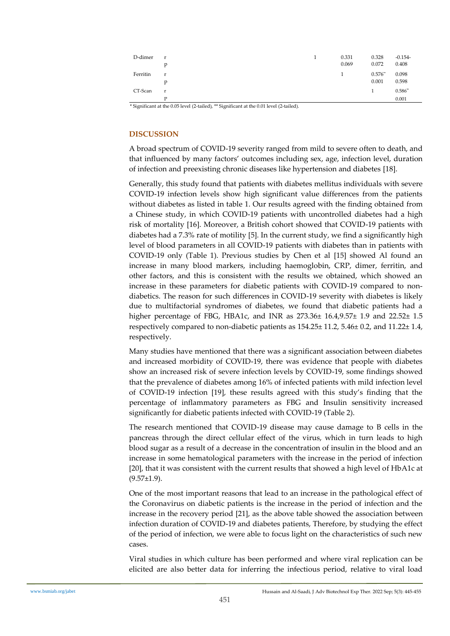| D-dimer  | r<br>p       | 0.331<br>0.069 | 0.328<br>0.072     | $-0.154-$<br>0.408 |
|----------|--------------|----------------|--------------------|--------------------|
| Ferritin | r<br>p       | 1              | $0.576**$<br>0.001 | 0.098<br>0.598     |
| CT-Scan  | $\mathbf{r}$ |                | $\mathbf{1}$       | $0.586**$          |
|          | P            |                |                    | 0.001              |

\* Significant at the 0.05 level (2-tailed), \*\* Significant at the 0.01 level (2-tailed).

# **DISCUSSION**

A broad spectrum of COVID-19 severity ranged from mild to severe often to death, and that influenced by many factors' outcomes including sex, age, infection level, duration of infection and preexisting chronic diseases like hypertension and diabetes [18].

Generally, this study found that patients with diabetes mellitus individuals with severe COVID-19 infection levels show high significant value differences from the patients without diabetes as listed in table 1. Our results agreed with the finding obtained from a Chinese study, in which COVID-19 patients with uncontrolled diabetes had a high risk of mortality [16]. Moreover, a British cohort showed that COVID-19 patients with diabetes had a 7.3% rate of motility [5]. In the current study, we find a significantly high level of blood parameters in all COVID-19 patients with diabetes than in patients with COVID-19 only (Table 1). Previous studies by Chen et al [15] showed Al found an increase in many blood markers, including haemoglobin, CRP, dimer, ferritin, and other factors, and this is consistent with the results we obtained, which showed an increase in these parameters for diabetic patients with COVID-19 compared to nondiabetics. The reason for such differences in COVID-19 severity with diabetes is likely due to multifactorial syndromes of diabetes, we found that diabetic patients had a higher percentage of FBG, HBA1c, and INR as 273.36± 16.4,9.57± 1.9 and 22.52± 1.5 respectively compared to non-diabetic patients as 154.25± 11.2, 5.46± 0.2, and 11.22± 1.4, respectively.

Many studies have mentioned that there was a significant association between diabetes and increased morbidity of COVID-19, there was evidence that people with diabetes show an increased risk of severe infection levels by COVID-19, some findings showed that the prevalence of diabetes among 16% of infected patients with mild infection level of COVID-19 infection [19], these results agreed with this study's finding that the percentage of inflammatory parameters as FBG and Insulin sensitivity increased significantly for diabetic patients infected with COVID-19 (Table 2).

The research mentioned that COVID-19 disease may cause damage to B cells in the pancreas through the direct cellular effect of the virus, which in turn leads to high blood sugar as a result of a decrease in the concentration of insulin in the blood and an increase in some hematological parameters with the increase in the period of infection [20], that it was consistent with the current results that showed a high level of HbA1c at  $(9.57±1.9)$ .

One of the most important reasons that lead to an increase in the pathological effect of the Coronavirus on diabetic patients is the increase in the period of infection and the increase in the recovery period [21], as the above table showed the association between infection duration of COVID-19 and diabetes patients, Therefore, by studying the effect of the period of infection, we were able to focus light on the characteristics of such new cases.

Viral studies in which culture has been performed and where viral replication can be elicited are also better data for inferring the infectious period, relative to viral load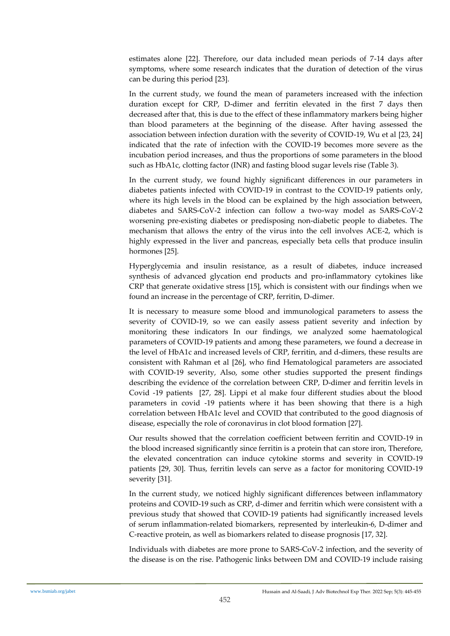estimates alone [22]. Therefore, our data included mean periods of 7-14 days after symptoms, where some research indicates that the duration of detection of the virus can be during this period [23].

In the current study, we found the mean of parameters increased with the infection duration except for CRP, D-dimer and ferritin elevated in the first 7 days then decreased after that, this is due to the effect of these inflammatory markers being higher than blood parameters at the beginning of the disease. After having assessed the association between infection duration with the severity of COVID-19, Wu et al [23, 24] indicated that the rate of infection with the COVID-19 becomes more severe as the incubation period increases, and thus the proportions of some parameters in the blood such as HbA1c, clotting factor (INR) and fasting blood sugar levels rise (Table 3).

In the current study, we found highly significant differences in our parameters in diabetes patients infected with COVID-19 in contrast to the COVID-19 patients only, where its high levels in the blood can be explained by the high association between, diabetes and SARS-CoV-2 infection can follow a two-way model as SARS-CoV-2 worsening pre-existing diabetes or predisposing non-diabetic people to diabetes. The mechanism that allows the entry of the virus into the cell involves ACE-2, which is highly expressed in the liver and pancreas, especially beta cells that produce insulin hormones [25].

Hyperglycemia and insulin resistance, as a result of diabetes, induce increased synthesis of advanced glycation end products and pro-inflammatory cytokines like CRP that generate oxidative stress [15], which is consistent with our findings when we found an increase in the percentage of CRP, ferritin, D-dimer.

It is necessary to measure some blood and immunological parameters to assess the severity of COVID-19, so we can easily assess patient severity and infection by monitoring these indicators In our findings, we analyzed some haematological parameters of COVID-19 patients and among these parameters, we found a decrease in the level of HbA1c and increased levels of CRP, ferritin, and d-dimers, these results are consistent with Rahman et al [26], who find Hematological parameters are associated with COVID-19 severity, Also, some other studies supported the present findings describing the evidence of the correlation between CRP, D-dimer and ferritin levels in Covid -19 patients [27, 28]. Lippi et al make four different studies about the blood parameters in covid -19 patients where it has been showing that there is a high correlation between HbA1c level and COVID that contributed to the good diagnosis of disease, especially the role of coronavirus in clot blood formation [27].

Our results showed that the correlation coefficient between ferritin and COVID-19 in the blood increased significantly since ferritin is a protein that can store iron, Therefore, the elevated concentration can induce cytokine storms and severity in COVID-19 patients [29, 30]. Thus, ferritin levels can serve as a factor for monitoring COVID-19 severity [31].

In the current study, we noticed highly significant differences between inflammatory proteins and COVID-19 such as CRP, d-dimer and ferritin which were consistent with a previous study that showed that COVID-19 patients had significantly increased levels of serum inflammation-related biomarkers, represented by interleukin-6, D-dimer and C-reactive protein, as well as biomarkers related to disease prognosis [17, 32].

Individuals with diabetes are more prone to SARS-CoV-2 infection, and the severity of the disease is on the rise. Pathogenic links between DM and COVID-19 include raising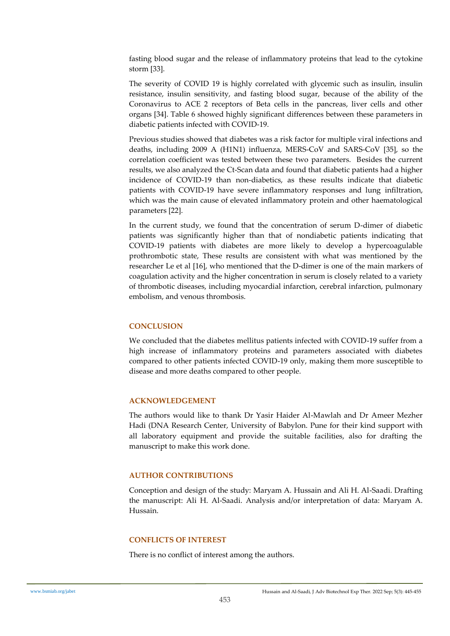fasting blood sugar and the release of inflammatory proteins that lead to the cytokine storm [33].

The severity of COVID 19 is highly correlated with glycemic such as insulin, insulin resistance, insulin sensitivity, and fasting blood sugar, because of the ability of the Coronavirus to ACE 2 receptors of Beta cells in the pancreas, liver cells and other organs [34]. Table 6 showed highly significant differences between these parameters in diabetic patients infected with COVID-19.

Previous studies showed that diabetes was a risk factor for multiple viral infections and deaths, including 2009 A (H1N1) influenza, MERS-CoV and SARS-CoV [35], so the correlation coefficient was tested between these two parameters. Besides the current results, we also analyzed the Ct-Scan data and found that diabetic patients had a higher incidence of COVID-19 than non-diabetics, as these results indicate that diabetic patients with COVID-19 have severe inflammatory responses and lung infiltration, which was the main cause of elevated inflammatory protein and other haematological parameters [22].

In the current study, we found that the concentration of serum D-dimer of diabetic patients was significantly higher than that of nondiabetic patients indicating that COVID-19 patients with diabetes are more likely to develop a hypercoagulable prothrombotic state, These results are consistent with what was mentioned by the researcher Le et al [16], who mentioned that the D-dimer is one of the main markers of coagulation activity and the higher concentration in serum is closely related to a variety of thrombotic diseases, including myocardial infarction, cerebral infarction, pulmonary embolism, and venous thrombosis.

# **CONCLUSION**

We concluded that the diabetes mellitus patients infected with COVID-19 suffer from a high increase of inflammatory proteins and parameters associated with diabetes compared to other patients infected COVID-19 only, making them more susceptible to disease and more deaths compared to other people.

# **ACKNOWLEDGEMENT**

The authors would like to thank Dr Yasir Haider Al-Mawlah and Dr Ameer Mezher Hadi (DNA Research Center, University of Babylon. Pune for their kind support with all laboratory equipment and provide the suitable facilities, also for drafting the manuscript to make this work done.

#### **AUTHOR CONTRIBUTIONS**

Conception and design of the study: Maryam A. Hussain and Ali H. Al-Saadi. Drafting the manuscript: Ali H. Al-Saadi. Analysis and/or interpretation of data: Maryam A. Hussain.

## **CONFLICTS OF INTEREST**

There is no conflict of interest among the authors.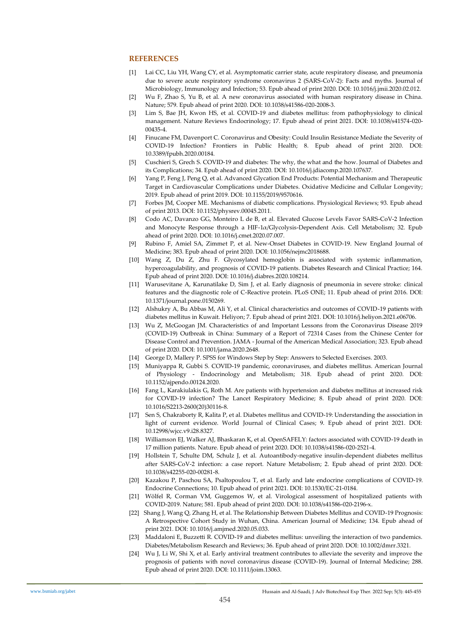#### **REFERENCES**

- [1] Lai CC, Liu YH, Wang CY, et al. Asymptomatic carrier state, acute respiratory disease, and pneumonia due to severe acute respiratory syndrome coronavirus 2 (SARS-CoV-2): Facts and myths. Journal of Microbiology, Immunology and Infection; 53. Epub ahead of print 2020. DOI: 10.1016/j.jmii.2020.02.012.
- [2] Wu F, Zhao S, Yu B, et al. A new coronavirus associated with human respiratory disease in China. Nature; 579. Epub ahead of print 2020. DOI: 10.1038/s41586-020-2008-3.
- [3] Lim S, Bae JH, Kwon HS, et al. COVID-19 and diabetes mellitus: from pathophysiology to clinical management. Nature Reviews Endocrinology; 17. Epub ahead of print 2021. DOI: 10.1038/s41574-020- 00435-4.
- [4] Finucane FM, Davenport C. Coronavirus and Obesity: Could Insulin Resistance Mediate the Severity of COVID-19 Infection? Frontiers in Public Health; 8. Epub ahead of print 2020. DOI: 10.3389/fpubh.2020.00184.
- [5] Cuschieri S, Grech S. COVID-19 and diabetes: The why, the what and the how. Journal of Diabetes and its Complications; 34. Epub ahead of print 2020. DOI: 10.1016/j.jdiacomp.2020.107637.
- [6] Yang P, Feng J, Peng Q, et al. Advanced Glycation End Products: Potential Mechanism and Therapeutic Target in Cardiovascular Complications under Diabetes. Oxidative Medicine and Cellular Longevity; 2019. Epub ahead of print 2019. DOI: 10.1155/2019/9570616.
- [7] Forbes JM, Cooper ME. Mechanisms of diabetic complications. Physiological Reviews; 93. Epub ahead of print 2013. DOI: 10.1152/physrev.00045.2011.
- [8] Codo AC, Davanzo GG, Monteiro L de B, et al. Elevated Glucose Levels Favor SARS-CoV-2 Infection and Monocyte Response through a HIF-1α/Glycolysis-Dependent Axis. Cell Metabolism; 32. Epub ahead of print 2020. DOI: 10.1016/j.cmet.2020.07.007.
- [9] Rubino F, Amiel SA, Zimmet P, et al. New-Onset Diabetes in COVID-19. New England Journal of Medicine; 383. Epub ahead of print 2020. DOI: 10.1056/nejmc2018688.
- [10] Wang Z, Du Z, Zhu F. Glycosylated hemoglobin is associated with systemic inflammation, hypercoagulability, and prognosis of COVID-19 patients. Diabetes Research and Clinical Practice; 164. Epub ahead of print 2020. DOI: 10.1016/j.diabres.2020.108214.
- [11] Warusevitane A, Karunatilake D, Sim J, et al. Early diagnosis of pneumonia in severe stroke: clinical features and the diagnostic role of C-Reactive protein. PLoS ONE; 11. Epub ahead of print 2016. DOI: 10.1371/journal.pone.0150269.
- [12] Alshukry A, Bu Abbas M, Ali Y, et al. Clinical characteristics and outcomes of COVID-19 patients with diabetes mellitus in Kuwait. Heliyon; 7. Epub ahead of print 2021. DOI: 10.1016/j.heliyon.2021.e06706.
- [13] Wu Z, McGoogan JM. Characteristics of and Important Lessons from the Coronavirus Disease 2019 (COVID-19) Outbreak in China: Summary of a Report of 72314 Cases from the Chinese Center for Disease Control and Prevention. JAMA - Journal of the American Medical Association; 323. Epub ahead of print 2020. DOI: 10.1001/jama.2020.2648.
- [14] George D, Mallery P. SPSS for Windows Step by Step: Answers to Selected Exercises. 2003.
- [15] Muniyappa R, Gubbi S. COVID-19 pandemic, coronaviruses, and diabetes mellitus. American Journal of Physiology - Endocrinology and Metabolism; 318. Epub ahead of print 2020. DOI: 10.1152/ajpendo.00124.2020.
- [16] Fang L, Karakiulakis G, Roth M. Are patients with hypertension and diabetes mellitus at increased risk for COVID-19 infection? The Lancet Respiratory Medicine; 8. Epub ahead of print 2020. DOI: 10.1016/S2213-2600(20)30116-8.
- [17] Sen S, Chakraborty R, Kalita P, et al. Diabetes mellitus and COVID-19: Understanding the association in light of current evidence. World Journal of Clinical Cases; 9. Epub ahead of print 2021. DOI: 10.12998/wjcc.v9.i28.8327.
- [18] Williamson EJ, Walker AJ, Bhaskaran K, et al. OpenSAFELY: factors associated with COVID-19 death in 17 million patients. Nature. Epub ahead of print 2020. DOI: 10.1038/s41586-020-2521-4.
- [19] Hollstein T, Schulte DM, Schulz J, et al. Autoantibody-negative insulin-dependent diabetes mellitus after SARS-CoV-2 infection: a case report. Nature Metabolism; 2. Epub ahead of print 2020. DOI: 10.1038/s42255-020-00281-8.
- [20] Kazakou P, Paschou SA, Psaltopoulou T, et al. Early and late endocrine complications of COVID-19. Endocrine Connections; 10. Epub ahead of print 2021. DOI: 10.1530/EC-21-0184.
- [21] Wölfel R, Corman VM, Guggemos W, et al. Virological assessment of hospitalized patients with COVID-2019. Nature; 581. Epub ahead of print 2020. DOI: 10.1038/s41586-020-2196-x.
- [22] Shang J, Wang Q, Zhang H, et al. The Relationship Between Diabetes Mellitus and COVID-19 Prognosis: A Retrospective Cohort Study in Wuhan, China. American Journal of Medicine; 134. Epub ahead of print 2021. DOI: 10.1016/j.amjmed.2020.05.033.
- [23] Maddaloni E, Buzzetti R. COVID-19 and diabetes mellitus: unveiling the interaction of two pandemics. Diabetes/Metabolism Research and Reviews; 36. Epub ahead of print 2020. DOI: 10.1002/dmrr.3321.
- [24] Wu J, Li W, Shi X, et al. Early antiviral treatment contributes to alleviate the severity and improve the prognosis of patients with novel coronavirus disease (COVID-19). Journal of Internal Medicine; 288. Epub ahead of print 2020. DOI: 10.1111/joim.13063.